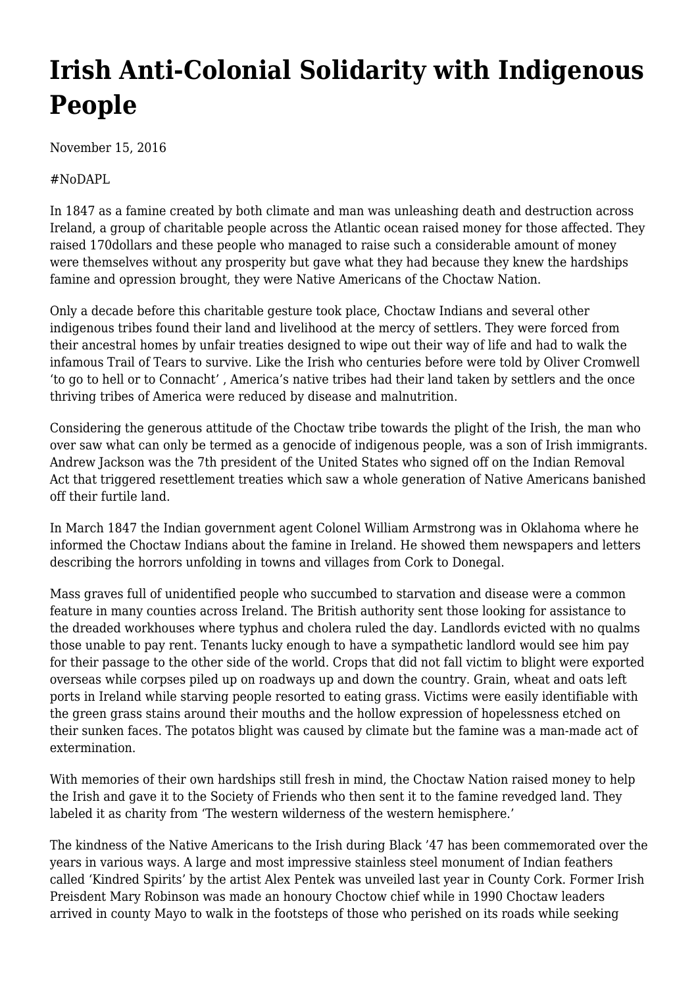## **[Irish Anti-Colonial Solidarity with Indigenous](https://newpol.org/irish-anticolonial-solidarity-indigenous-people/) [People](https://newpol.org/irish-anticolonial-solidarity-indigenous-people/)**

November 15, 2016

## #NoDAPL

In 1847 as a famine created by both climate and man was unleashing death and destruction across Ireland, a group of charitable people across the Atlantic ocean raised money for those affected. They raised 170dollars and these people who managed to raise such a considerable amount of money were themselves without any prosperity but gave what they had because they knew the hardships famine and opression brought, they were Native Americans of the Choctaw Nation.

Only a decade before this charitable gesture took place, Choctaw Indians and several other indigenous tribes found their land and livelihood at the mercy of settlers. They were forced from their ancestral homes by unfair treaties designed to wipe out their way of life and had to walk the infamous Trail of Tears to survive. Like the Irish who centuries before were told by Oliver Cromwell 'to go to hell or to Connacht' , America's native tribes had their land taken by settlers and the once thriving tribes of America were reduced by disease and malnutrition.

Considering the generous attitude of the Choctaw tribe towards the plight of the Irish, the man who over saw what can only be termed as a genocide of indigenous people, was a son of Irish immigrants. Andrew Jackson was the 7th president of the United States who signed off on the Indian Removal Act that triggered resettlement treaties which saw a whole generation of Native Americans banished off their furtile land.

In March 1847 the Indian government agent Colonel William Armstrong was in Oklahoma where he informed the Choctaw Indians about the famine in Ireland. He showed them newspapers and letters describing the horrors unfolding in towns and villages from Cork to Donegal.

Mass graves full of unidentified people who succumbed to starvation and disease were a common feature in many counties across Ireland. The British authority sent those looking for assistance to the dreaded workhouses where typhus and cholera ruled the day. Landlords evicted with no qualms those unable to pay rent. Tenants lucky enough to have a sympathetic landlord would see him pay for their passage to the other side of the world. Crops that did not fall victim to blight were exported overseas while corpses piled up on roadways up and down the country. Grain, wheat and oats left ports in Ireland while starving people resorted to eating grass. Victims were easily identifiable with the green grass stains around their mouths and the hollow expression of hopelessness etched on their sunken faces. The potatos blight was caused by climate but the famine was a man-made act of extermination.

With memories of their own hardships still fresh in mind, the Choctaw Nation raised money to help the Irish and gave it to the Society of Friends who then sent it to the famine revedged land. They labeled it as charity from 'The western wilderness of the western hemisphere.'

The kindness of the Native Americans to the Irish during Black '47 has been commemorated over the years in various ways. A large and most impressive stainless steel monument of Indian feathers called 'Kindred Spirits' by the artist Alex Pentek was unveiled last year in County Cork. Former Irish Preisdent Mary Robinson was made an honoury Choctow chief while in 1990 Choctaw leaders arrived in county Mayo to walk in the footsteps of those who perished on its roads while seeking